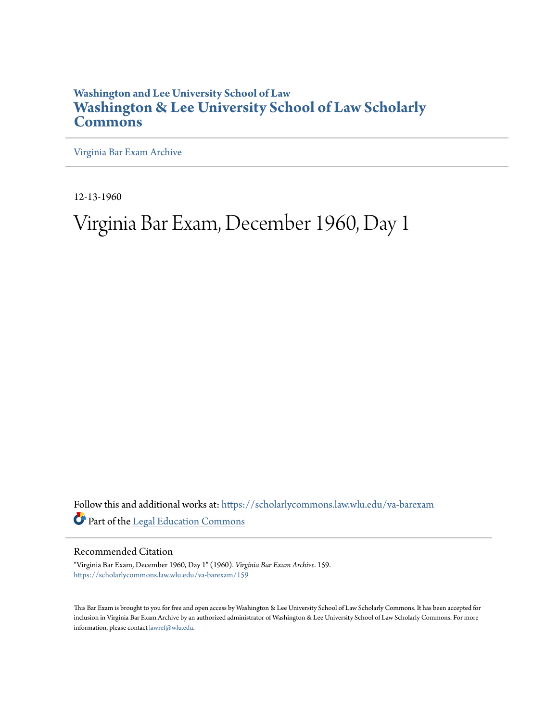## **Washington and Lee University School of Law [Washington & Lee University School of Law Scholarly](https://scholarlycommons.law.wlu.edu?utm_source=scholarlycommons.law.wlu.edu%2Fva-barexam%2F159&utm_medium=PDF&utm_campaign=PDFCoverPages) [Commons](https://scholarlycommons.law.wlu.edu?utm_source=scholarlycommons.law.wlu.edu%2Fva-barexam%2F159&utm_medium=PDF&utm_campaign=PDFCoverPages)**

[Virginia Bar Exam Archive](https://scholarlycommons.law.wlu.edu/va-barexam?utm_source=scholarlycommons.law.wlu.edu%2Fva-barexam%2F159&utm_medium=PDF&utm_campaign=PDFCoverPages)

12-13-1960

# Virginia Bar Exam, December 1960, Day 1

Follow this and additional works at: [https://scholarlycommons.law.wlu.edu/va-barexam](https://scholarlycommons.law.wlu.edu/va-barexam?utm_source=scholarlycommons.law.wlu.edu%2Fva-barexam%2F159&utm_medium=PDF&utm_campaign=PDFCoverPages) Part of the [Legal Education Commons](http://network.bepress.com/hgg/discipline/857?utm_source=scholarlycommons.law.wlu.edu%2Fva-barexam%2F159&utm_medium=PDF&utm_campaign=PDFCoverPages)

Recommended Citation

"Virginia Bar Exam, December 1960, Day 1" (1960). *Virginia Bar Exam Archive*. 159. [https://scholarlycommons.law.wlu.edu/va-barexam/159](https://scholarlycommons.law.wlu.edu/va-barexam/159?utm_source=scholarlycommons.law.wlu.edu%2Fva-barexam%2F159&utm_medium=PDF&utm_campaign=PDFCoverPages)

This Bar Exam is brought to you for free and open access by Washington & Lee University School of Law Scholarly Commons. It has been accepted for inclusion in Virginia Bar Exam Archive by an authorized administrator of Washington & Lee University School of Law Scholarly Commons. For more information, please contact [lawref@wlu.edu](mailto:lawref@wlu.edu).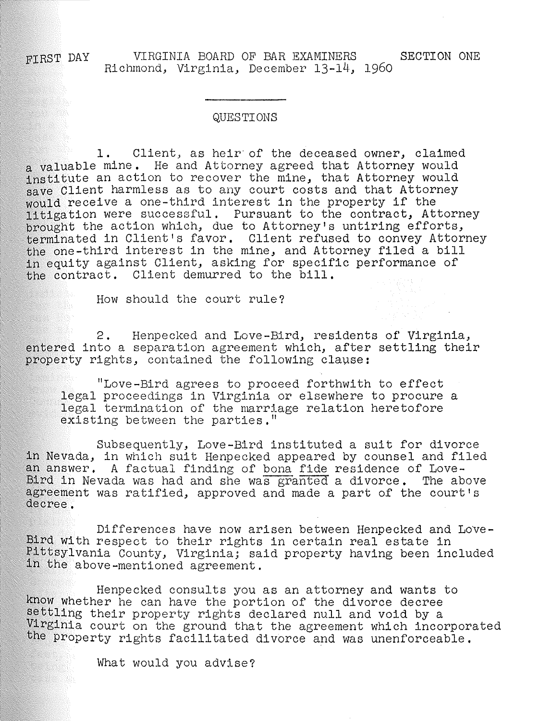VIRGINIA BOARD OF BAR EXAMINERS SECTION ONE FTRST DAY Richmond, Virginia, December 13-14, 1960

#### QUESTIONS

1. Client, as heir· of the deceased owner, claimed a valuable mine. He and Attorney agreed that Attorney would institute an action to recover the mine, that Attorney would save Client harmless as to any court costs and that Attorney would receive a one-third interest in the property if the litigation were successful, Pursuant to the contract, Attorney brought the action which, due to Attorney's untiring efforts, terminated in Client's favor. Client refused to convey Attorney the one-third interest in the mine, and Attorney filed a bill in equity against Client, asking for specific performance of the contract. Client demurred to the bill.

How should the court rule?

2. Henpecked and Love-Bird, residents of Virginia, entered into a separation agreement which, after settling their property rights, contained the following clause:

"Love-Bird agrees to proceed forthwith to effect legal proceedings in Virginia or elsewhere to procure a legal termination of the marriage relation heretofore existing between the parties."

Subsequently, Love-Bird instituted a suit for divorce in Nevada, in which suit Henpecked appeared by counsel and filed an answer. A factual finding of bona fide residence of Love-Bird in Nevada was had and she was granted a divorce. The above agreement was ratified, approved and made a part of the court's decree.

Differences have now arisen between Henpecked and Love-Bird with respect to their rights in certain real estate in Pittsylvania County, Virginia; said property having been included in the above-mentioned agreement.

Henpecked consults you as an attorney and wants to know whether he can have the portion of the divorce decree settling their property rights declared null and void by a Virginia court on the ground that the agreement which incorporated the property rights facilitated divorce and was unenforceable.

What would you advise?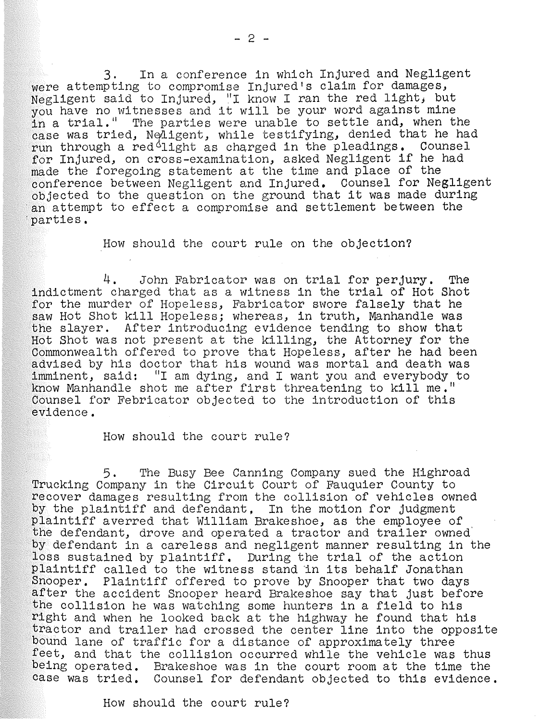3. In a conference in which Injured and Negligent were attempting to compromise Injured's claim for damages, Negligent said to Injured, "I know I ran the red light, but you have no witnesses and it will be your word against mine in a trial." The parties were unable to settle and, when the case was tried, Neligent, while testifying, denied that he had run through a red $61$ ight as charged in the pleadings. Counsel for Injured, on cross-examination, asked Negligent if he had made the foregoing statement at the time and place of the conference between Negligent and Injured, Counsel for Negligent objected to the question on the ground that it was made during an attempt to effect a compromise and settlement between the 'parties.

How should the court rule on the objection?

4. John Fabricator was on trial for perjury. The indictment charged that as a witness in the trial of Hot Shot for the murder of Hopeless, Fabricator swore falsely that he saw Hot Shot kill Hopeless; whereas, in truth, Manhandle was the slayer. After introducing evidence tending to show that Hot Shot was not present at the killing, the Attorney for the Commonwealth offered to prove that Hopeless, after he had been advised by his doctor that his wound was mortal and death was imminent, said: "I am dying, and I want you and everybody to know Manhandle shot me after first threatening to kill me." Counsel for Febricator objected to the introduction of this evidence.

How should the court rule?

5. The Busy Bee Canning Company sued the Highroad Trucking Company in the Circuit Court of Fauquier County to recover damages resulting from the collision of vehicles owned by the plaintiff and defendant, In the motion for judgment plaintiff averred that William Brakeshoe, as the employee of the defendant, drove and operated a tractor and trailer owned by defendant in a careless and negligent manner resulting in the loss sustained by plaintiff. During the trial of the action plaintiff called to the witness stand in its behalf Jonathan Snooper. Plaintiff offered to prove by Snooper that two days after the accident Snooper heard Brakeshoe say that just before the collision he was watching some hunters in a field to his right and when he looked back at the highway he found that his tractor and trailer had crossed the center line into the opposite bound lane of traffic for a distance of approximately three feet, and that the collision occurred while the vehicle was thus being operated. Brakeshoe was in the court room at the time the case was tried. Counsel for defendant objected to this evidence.

How should the court rule?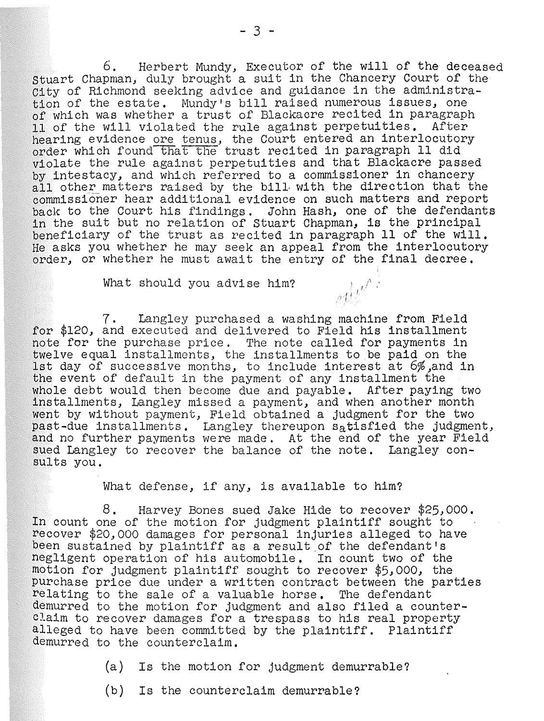6. Herbert Mundy, Executor of the will of the deceased Stuart Chapman, duly brought a suit in the Chancery Court of the City of Richmond seeking advice and guidance in the administration of the estate. Mundy's bill raised numerous issues, one of which was whether a trust of Blackaore recited in paragraph 11 of the will violated the rule against perpetuities. After hearing evidence ore tenus, the Court entered an interlocutory order which found that the trust recited in paragraph 11 did violate the rule against perpetuities and that Blackacre passed by intestacy, and which referred to a commissioner in chancery all other matters raised by the bill with the direction that the commissioner hear additional evidence on such matters and report back to the Court his findings. John Hash, one of the defendants in the suit but no relation of Stuart Chapman, is the principal beneficiary of the trust as recited in paragraph 11 of the will. He asks you whether he may seek an appeal from the interlocutory order, or whether he must await the entry of the final decree.

What should you advise him?

7. Langley purchased a washing machine from Field for \$120, and executed and delivered to Field his installment note for the purchase price. The note called for payments in twelve equal installments, the installments to be paid on the 1st day of successive months, to include interest at 6%,and in the event of default in the payment of any installment the whole debt would then become due and payable. After paying two installments, Langley missed a payment, and when another month went by without payment, Field obtained a judgment for the two past-due installments. Langley thereupon satisfied the judgment, and no further payments were made. At the end of the year Field sued Langley to recover the balance of the note. Langley consults you.

. I *1/* ' ) *r* I'

What defense, if any, is available to him?

8. Harvey Bones sued Jake Hide to recover \$25,000. In count one of the motion for judgment plaintiff sought to recover \$20,000 damages for personal injuries alleged to have been sustained by plaintiff as a result\_of the defendant's negligent operation of his automobile. In count two of the motion for judgment plaintiff sought to recover \$5,000, the purchase price due under a written contract between the parties relating to the sale of a valuable horse. The defendant demurred to the motion for judgment and also filed a counterclaim to recover damages for a trespass to his real property alleged to have been commltted by the plaintiff. Plaintiff demurred to the counterclaim.

(a) Is the motion for judgment demurrable?

(b) Is the counterclaim demurrable?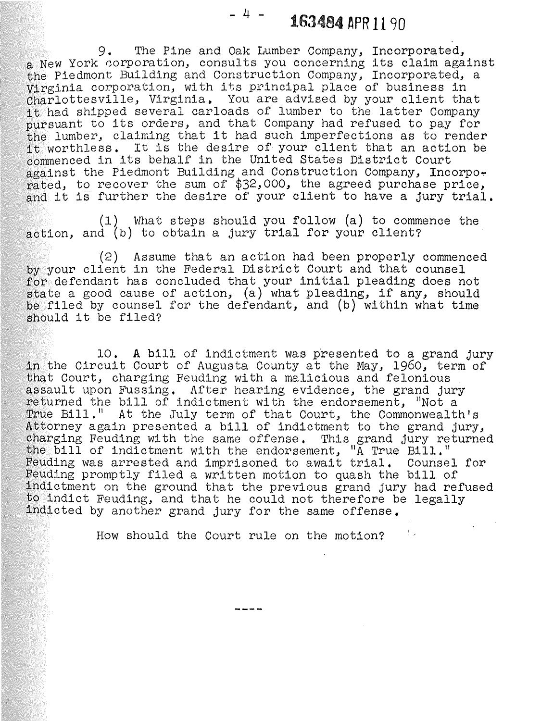$4$  - 1.63484 APR 11 90

9. The Pine and Oak Lumber Company, Incorporated, a New York corporation, consults you concerning its claim against the Piedmont Building and Construction Company) Incorporated, a Virginia corporation, with its principal place of business in Charlottesville, Virginia. You are advised by your client that it had shipped several carloads of lumber to the latter Company pursuant to its orders, and that Company had refused to pay for the lumber, claiming that it had such imperfections as to render it worthless. It is the desire of your client that an action be commenced in its behalf in the United States District Court against the Piedmont Building and Construction Company, Incorpo. rated, to recover the sum of \$32,000, the agreed purchase price, and it is further the desire of your client to have a jury trial.

(1) What steps should you follow (a) to commence the action, and (b) to obtain a jury trial for your client?

(2) Assume that an action had been properly commenced by your client in the Federal District Court and that counsel for defendant has concluded that your initial pleading does not state a good cause of action, (a) what pleading, if any, should be filed by counsel for the defendant, and (b) within what time should it be filed?

10. A bill of indictment was presented to a grand jury in the Circuit Court of Augusta County at the May, 1960, term of that Court, charging Feuding with a malicious and felonious assault upon Fussing. After hearing evidence, the grand jury returned the bill of indictment with the endorsement, "Not a True Bill." At the July term of that Court, the Commonwealth's Attorney again presented a bill of indictment to the grand jury, charging Feuding with the same offense. This grand jury returned the bill of indictment with the endorsement, "A True Bill." Feuding was arrested and imprisoned to await trial. Counsel for Feuding promptly filed a written motion to quash the bill of indictment on the ground that the previous grand jury had refused to indict Feuding, and that he could not therefore be legally indicted by another grand jury for the same offense.

How should the Court rule on the motion?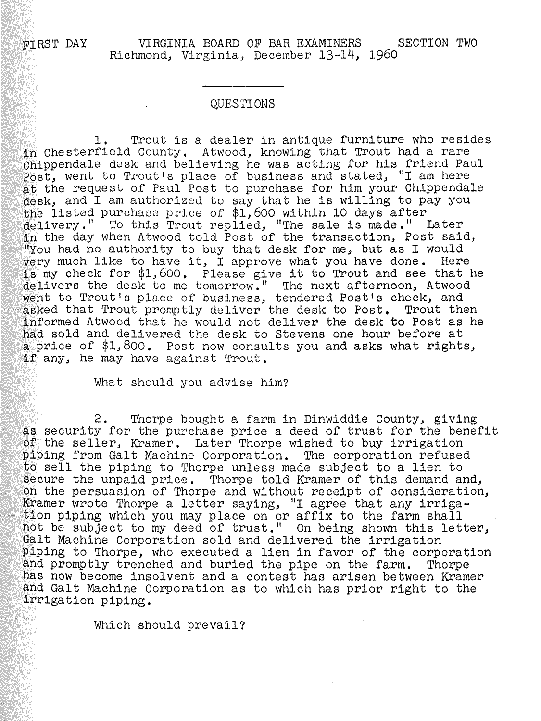### QUESTIONS

1. Trout is a dealer in antique furniture who resides in Chesterfield County, Atwood, knowing that Trout had a rare Chippendale desk and believing he was acting for his friend Paul Post, went to Trout's place of business and stated, ''I am here at the request of Paul Post to purchase for him your Chippendale desk, and I am authorized to say that he is willing to pay you the listed purchase price of \$1,600 within 10 days after delivery." To this Trout replied, "The sale is made." Later in the day when Atwood told Post of the transaction, Post said, "You had no authority to buy that desk for me, but as I would yery much like to have it, I approve what you have done. Here is my check for \$1,600. Please give it to Trout and see that he delivers the desk to me tomorrow." The next afternoon, Atwood went to Trout's place of business, tendered Post's check, and asked that Trout promptly deliver the desk to Post. Trout then informed Atwood that he would not deliver the desk to Post as he had sold and delivered the desk to Stevens one hour before at a price of \$1,800. Post now consults you and asks what rights, if any, he may have against Trout.

What should you advise him?

2. Thorpe bought a farm in Dinwiddie County, giving as security for the purchase price a deed of trust for the benefit of the seller, Kramer. Later Thorpe wished to buy irrigation piping from Galt Machine Corporation. The corporation refused to sell the piping to Thorpe unless made subject to a lien to secure the unpaid price. Thorpe told Kramer of this demand and, on the persuasion of Thorpe and without receipt of consideration, Kramer wrote Thorpe a letter saying, "I agree that any irriga-<br>tion piping which you may place on or affix to the farm shall not be subject to my deed of trust." On being shown this letter,<br>Galt Machine Corporation sold and delivered the irrigation piping to Thorpe, who executed a lien in favor of the corporation and promptly trenched and buried the pipe on the farm. Thorpe has now become insolvent and a contest has arisen between Kramer and Galt Machine Corporation as to which has prior right to the irrigation piping.

Which should prevail?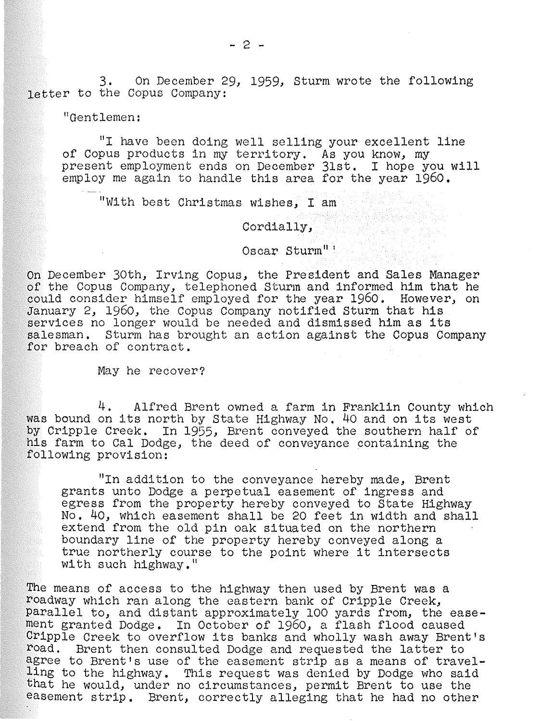3. On December 29, 1959, Sturm wrote the following letter to the Copus Company:

t1Gentlemen:

"I have been doing well selling your excellent line of Copus products in my territory. As you know, my present employment ends on December 31st. I hope you will employ me again to handle this area for the year 1960.

"With best Christmas wishes, I am

Cordially,

Oscar Sturm" <sup>1</sup>

On December 30th, Irving Copus, the President and Sales Manager of the Copus Company, telephoned Sturm and informed him that he could consider himself employed for the year 1960. However, on January 2, 1960, the Copus Company notified Sturm that his services no longer would be needed and dismissed him as its salesman. Sturm has brought an action against the Copus Company for breach of contract.

May he recover?

4. Alfred Brent owned a farm in Franklin County which was bound on its north by State Highway No. 40 and on its west by Cripple Creek. In 1955, Brent conveyed the southern half of his farm to Cal Dodge, the deed of conveyance containing the following provision:

"In addition to the conveyance hereby made, Brent grants unto Dodge a perpetual easement of ingress and egress from the property hereby conveyed to State Highway No. 40, which easement shall be 20 feet in width and shall extend from the old pin oak situated on the northern boundary line of the property hereby conveyed along a true northerly course to the point where it intersects with such highway."

The means of access to the highway then used by Brent was a roadway which ran along the eastern bank of Cripple Creek, Parallel to, and distant approximately 100 yards from, the easement granted Dodge. In October of 1960, a flash flood caused Cripple Creek to overflow its banks and wholly wash away Brent's road. Brent then consulted Dodge and requested the latter to agree to Brent's use of the easement strip as a means of travelling to the highway. This request was denied by Dodge who said that he would, under no circumstances, permit Brent to use the easement strip. Brent, correctly alleging that he had no other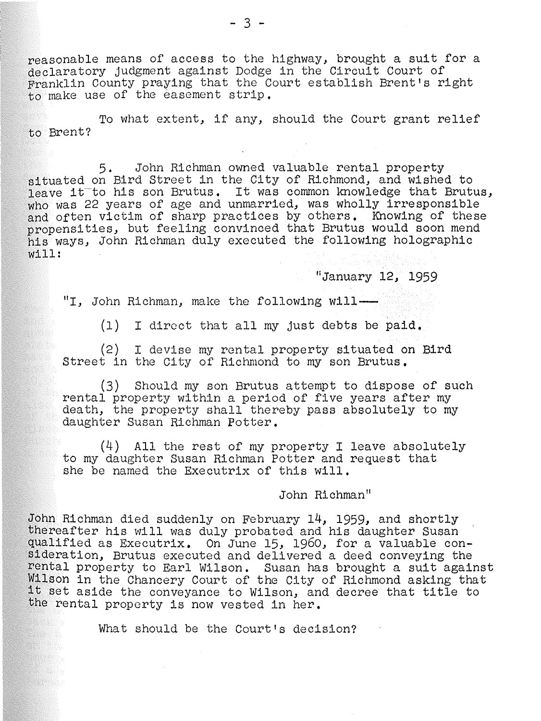reasonable means of access to the highway, brought a suit for a declaratory judgment against Dodge in the Circuit Court of Franklin County praying that the Court establish Brent's right to make use of the easement strip.

To what extent, if any, should the Court grant relief to Brent?

5. John Richman owned valuable rental property situated on Bird Street in the City of Richmond, and wished to leave it to his son Brutus. It was common knowledge that Brutus, who was 22 years of age and unmarried, was wholly irresponsible and often victim of sharp practices by others. Knowing of these propensities, but feeling convinced that Brutus would soon mend his ways, John Richman duly executed the following holographic will:

"January 12. 1959

"I, John Richman, make the following will-

(1) I direct that all my just debts be paid,

(2) I devise my rental property situated on Bird Street in the City of Richmond to my son Brutus,

(3) Should my son Brutus attempt to dispose of such rental property within a period of five years after my death, the property shall thereby pass absolutely to my daughter Susan Richman Potter.

(4) All the rest of my property I leave absolutely to my daughter Susan Richman Potter and request that she be named the Executrix of this will.

John Richman"

John Richman died suddenly on February 14, 1959, and shortly thereafter his will was duly probated and his daughter Susan qualified as Executrix. On June 15, 1960, for a valuable consideration, Brutus executed and delivered a deed conveying the rental property to Earl Wilson. Susan has brought a suit against Wilson in the Chancery Court of the City of Richmond asking that it set aside the conveyance to Wilson, and decree that title to the rental property is now vested in her.

What should be the Court's decision?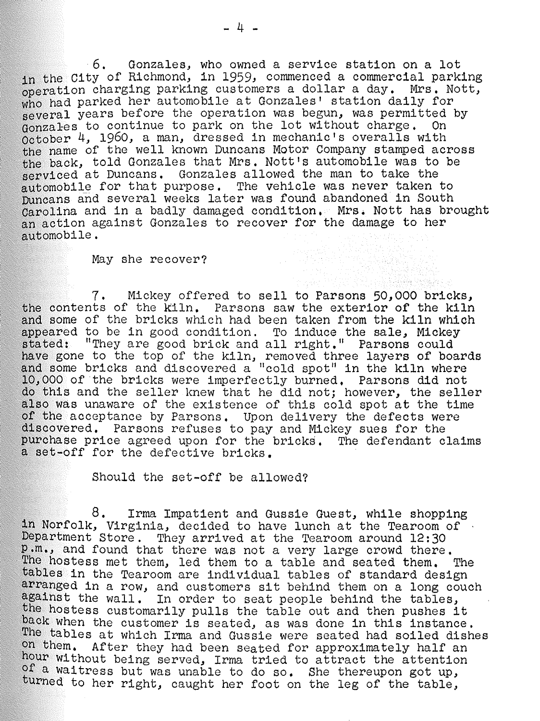6. Gonzales, who owned a service station on a lot in the City of Richmond, in 1959, commenced a commercial parking<br>operation charging parking customers a dollar a day. Mrs. Nott, who had parked her automobile at Gonzales' station daily for several years before the operation was begun, was permitted by (solid charge, on October 4, 1960, a man, dressed in mechanic's overalls with the name of the well known Duncans Motor Company stamped across the back, told Gonzales that Mrs. Nott's automobile was to be serviced at Duncans. Gonzales allowed the man to take the automobile for that purpose. The vehicle was never taken to Duncans and several weeks later was found abandoned in South Carolina and in a badly damaged condition. Mrs. Nott has brought an action against Gonzales to recover for the damage to her automobile.

#### May she recover?

7. Mickey offered to sell to Parsons 50,000 bricks, the contents of the kiln. Parsons saw the exterior of the kiln and some of the bricks which had been taken from the kiln which appeared to be in good condition. To induce the sale, Mickey stated: "They are good brick and all right." Parsons could have gone to the top of the kiln, removed three layers of boards and some bricks and discovered a "cold spot" in the kiln where ·10, 000 of the bricks were imperfectly burned. Parsons did not do this and the seller knew that he did not; however, the seller also was unaware of the existence of this cold spot at the time f the acceptance by Parsons. Upon delivery the defects were iscovered. Parsons refuses to pay and Mickey sues for the urchase price agreed upon for the bricks. The defendant claims a set-off for the defective bricks.

Should the set-off be allowed?

8. Irma Impatient and Gussie Guest, while shopping<br>in Norfolk, Virginia, decided to have lunch at the Tearoom of<br>Department Store. They arrived at the Tearoom around 12:30 .m., and found that there was not a very large crowd there. The hostess met them, led them to a table and seated them. The tables in the Tearoom are individual tables of standard design<br>arranged in a row, and customers sit behind them on a long couch against the wall. In order to seat people behind the tables, the hostess customarily pulls the table out and then pushes it back when the customer is seated, as was done in this instance. he tables at which Irma and Gussie were seated had soiled dishes n them. After they had been seated for approximately half an hour without being served, Irma tried to attract the attention f a Waitress but was unable to do so. She thereupon got up, turned to her right, caught her foot on the leg of the table,